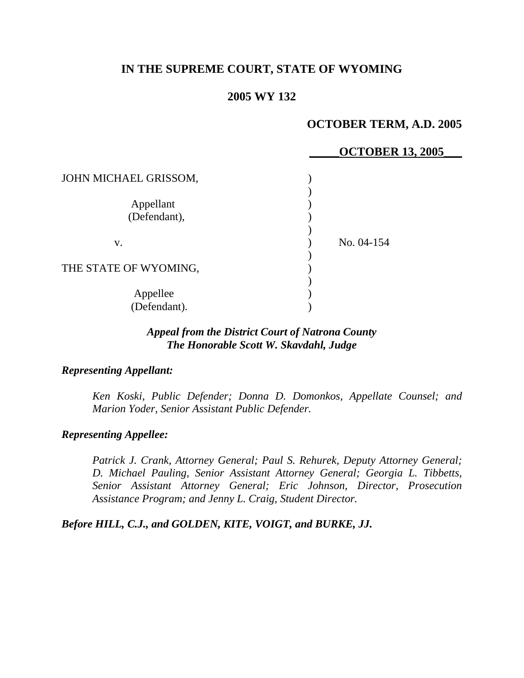# **IN THE SUPREME COURT, STATE OF WYOMING**

#### **2005 WY 132**

# **OCTOBER TERM, A.D. 2005**

|                       | <b>OCTOBER 13, 2005</b> |
|-----------------------|-------------------------|
| JOHN MICHAEL GRISSOM, |                         |
|                       |                         |
| Appellant             |                         |
| (Defendant),          |                         |
|                       |                         |
| V.                    | No. 04-154              |
|                       |                         |
| THE STATE OF WYOMING, |                         |
|                       |                         |
| Appellee              |                         |
| (Defendant).          |                         |

# *Appeal from the District Court of Natrona County The Honorable Scott W. Skavdahl, Judge*

#### *Representing Appellant:*

*Ken Koski, Public Defender; Donna D. Domonkos, Appellate Counsel; and Marion Yoder, Senior Assistant Public Defender.* 

#### *Representing Appellee:*

*Patrick J. Crank, Attorney General; Paul S. Rehurek, Deputy Attorney General; D. Michael Pauling, Senior Assistant Attorney General; Georgia L. Tibbetts, Senior Assistant Attorney General; Eric Johnson, Director, Prosecution Assistance Program; and Jenny L. Craig, Student Director.* 

*Before HILL, C.J., and GOLDEN, KITE, VOIGT, and BURKE, JJ.*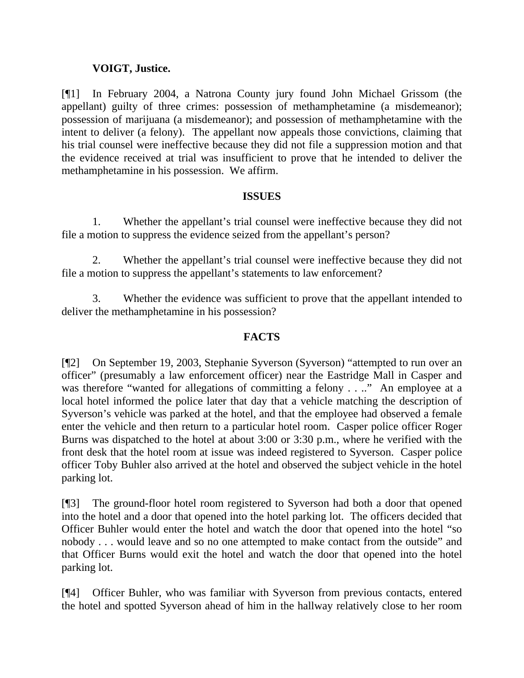# **VOIGT, Justice.**

[¶1] In February 2004, a Natrona County jury found John Michael Grissom (the appellant) guilty of three crimes: possession of methamphetamine (a misdemeanor); possession of marijuana (a misdemeanor); and possession of methamphetamine with the intent to deliver (a felony). The appellant now appeals those convictions, claiming that his trial counsel were ineffective because they did not file a suppression motion and that the evidence received at trial was insufficient to prove that he intended to deliver the methamphetamine in his possession. We affirm.

### **ISSUES**

 1. Whether the appellant's trial counsel were ineffective because they did not file a motion to suppress the evidence seized from the appellant's person?

 2. Whether the appellant's trial counsel were ineffective because they did not file a motion to suppress the appellant's statements to law enforcement?

3. Whether the evidence was sufficient to prove that the appellant intended to deliver the methamphetamine in his possession?

### **FACTS**

[¶2] On September 19, 2003, Stephanie Syverson (Syverson) "attempted to run over an officer" (presumably a law enforcement officer) near the Eastridge Mall in Casper and was therefore "wanted for allegations of committing a felony . . .." An employee at a local hotel informed the police later that day that a vehicle matching the description of Syverson's vehicle was parked at the hotel, and that the employee had observed a female enter the vehicle and then return to a particular hotel room. Casper police officer Roger Burns was dispatched to the hotel at about 3:00 or 3:30 p.m., where he verified with the front desk that the hotel room at issue was indeed registered to Syverson. Casper police officer Toby Buhler also arrived at the hotel and observed the subject vehicle in the hotel parking lot.

[¶3] The ground-floor hotel room registered to Syverson had both a door that opened into the hotel and a door that opened into the hotel parking lot. The officers decided that Officer Buhler would enter the hotel and watch the door that opened into the hotel "so nobody . . . would leave and so no one attempted to make contact from the outside" and that Officer Burns would exit the hotel and watch the door that opened into the hotel parking lot.

[¶4] Officer Buhler, who was familiar with Syverson from previous contacts, entered the hotel and spotted Syverson ahead of him in the hallway relatively close to her room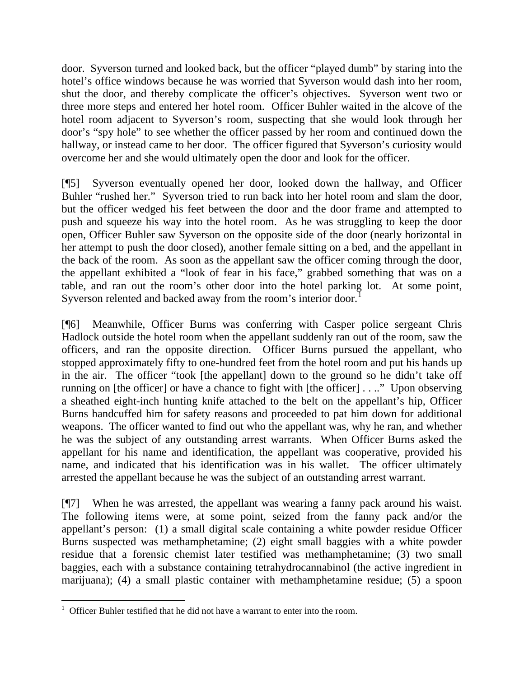door. Syverson turned and looked back, but the officer "played dumb" by staring into the hotel's office windows because he was worried that Syverson would dash into her room, shut the door, and thereby complicate the officer's objectives. Syverson went two or three more steps and entered her hotel room. Officer Buhler waited in the alcove of the hotel room adjacent to Syverson's room, suspecting that she would look through her door's "spy hole" to see whether the officer passed by her room and continued down the hallway, or instead came to her door. The officer figured that Syverson's curiosity would overcome her and she would ultimately open the door and look for the officer.

[¶5] Syverson eventually opened her door, looked down the hallway, and Officer Buhler "rushed her." Syverson tried to run back into her hotel room and slam the door, but the officer wedged his feet between the door and the door frame and attempted to push and squeeze his way into the hotel room. As he was struggling to keep the door open, Officer Buhler saw Syverson on the opposite side of the door (nearly horizontal in her attempt to push the door closed), another female sitting on a bed, and the appellant in the back of the room. As soon as the appellant saw the officer coming through the door, the appellant exhibited a "look of fear in his face," grabbed something that was on a table, and ran out the room's other door into the hotel parking lot. At some point, Syverson relented and backed away from the room's interior door.<sup>[1](#page-2-0)</sup>

[¶6] Meanwhile, Officer Burns was conferring with Casper police sergeant Chris Hadlock outside the hotel room when the appellant suddenly ran out of the room, saw the officers, and ran the opposite direction. Officer Burns pursued the appellant, who stopped approximately fifty to one-hundred feet from the hotel room and put his hands up in the air. The officer "took [the appellant] down to the ground so he didn't take off running on [the officer] or have a chance to fight with [the officer] . . .." Upon observing a sheathed eight-inch hunting knife attached to the belt on the appellant's hip, Officer Burns handcuffed him for safety reasons and proceeded to pat him down for additional weapons. The officer wanted to find out who the appellant was, why he ran, and whether he was the subject of any outstanding arrest warrants. When Officer Burns asked the appellant for his name and identification, the appellant was cooperative, provided his name, and indicated that his identification was in his wallet. The officer ultimately arrested the appellant because he was the subject of an outstanding arrest warrant.

[¶7] When he was arrested, the appellant was wearing a fanny pack around his waist. The following items were, at some point, seized from the fanny pack and/or the appellant's person: (1) a small digital scale containing a white powder residue Officer Burns suspected was methamphetamine; (2) eight small baggies with a white powder residue that a forensic chemist later testified was methamphetamine; (3) two small baggies, each with a substance containing tetrahydrocannabinol (the active ingredient in marijuana); (4) a small plastic container with methamphetamine residue; (5) a spoon

<span id="page-2-0"></span> <sup>1</sup> Officer Buhler testified that he did not have a warrant to enter into the room.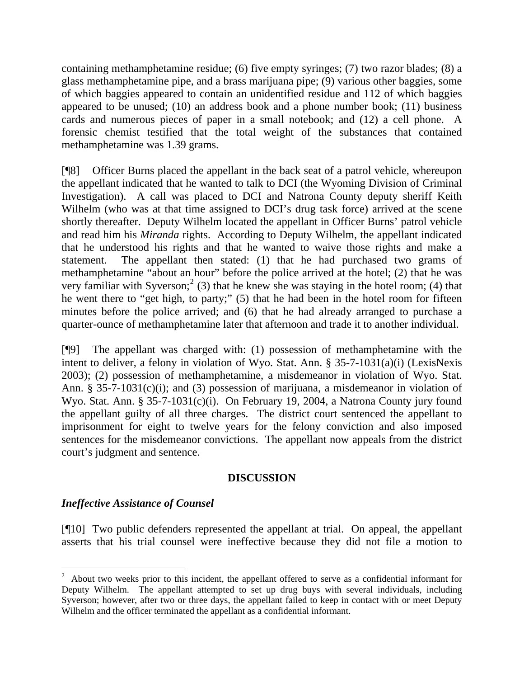containing methamphetamine residue; (6) five empty syringes; (7) two razor blades; (8) a glass methamphetamine pipe, and a brass marijuana pipe; (9) various other baggies, some of which baggies appeared to contain an unidentified residue and 112 of which baggies appeared to be unused; (10) an address book and a phone number book; (11) business cards and numerous pieces of paper in a small notebook; and (12) a cell phone. A forensic chemist testified that the total weight of the substances that contained methamphetamine was 1.39 grams.

[¶8] Officer Burns placed the appellant in the back seat of a patrol vehicle, whereupon the appellant indicated that he wanted to talk to DCI (the Wyoming Division of Criminal Investigation). A call was placed to DCI and Natrona County deputy sheriff Keith Wilhelm (who was at that time assigned to DCI's drug task force) arrived at the scene shortly thereafter. Deputy Wilhelm located the appellant in Officer Burns' patrol vehicle and read him his *Miranda* rights. According to Deputy Wilhelm, the appellant indicated that he understood his rights and that he wanted to waive those rights and make a statement. The appellant then stated: (1) that he had purchased two grams of methamphetamine "about an hour" before the police arrived at the hotel; (2) that he was very familiar with Syverson;<sup>[2](#page-3-0)</sup> (3) that he knew she was staying in the hotel room; (4) that he went there to "get high, to party;" (5) that he had been in the hotel room for fifteen minutes before the police arrived; and (6) that he had already arranged to purchase a quarter-ounce of methamphetamine later that afternoon and trade it to another individual.

[¶9] The appellant was charged with: (1) possession of methamphetamine with the intent to deliver, a felony in violation of Wyo. Stat. Ann. § 35-7-1031(a)(i) (LexisNexis 2003); (2) possession of methamphetamine, a misdemeanor in violation of Wyo. Stat. Ann. § 35-7-1031(c)(i); and (3) possession of marijuana, a misdemeanor in violation of Wyo. Stat. Ann. § 35-7-1031(c)(i). On February 19, 2004, a Natrona County jury found the appellant guilty of all three charges. The district court sentenced the appellant to imprisonment for eight to twelve years for the felony conviction and also imposed sentences for the misdemeanor convictions. The appellant now appeals from the district court's judgment and sentence.

### **DISCUSSION**

### *Ineffective Assistance of Counsel*

[¶10] Two public defenders represented the appellant at trial. On appeal, the appellant asserts that his trial counsel were ineffective because they did not file a motion to

<span id="page-3-0"></span> $2$  About two weeks prior to this incident, the appellant offered to serve as a confidential informant for Deputy Wilhelm. The appellant attempted to set up drug buys with several individuals, including Syverson; however, after two or three days, the appellant failed to keep in contact with or meet Deputy Wilhelm and the officer terminated the appellant as a confidential informant.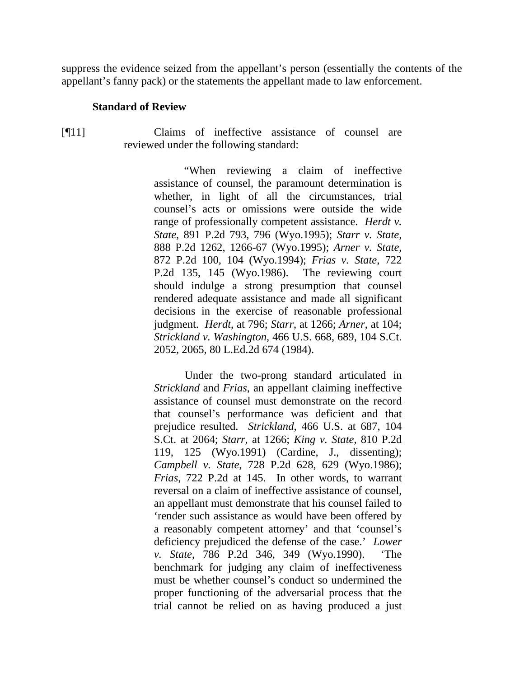suppress the evidence seized from the appellant's person (essentially the contents of the appellant's fanny pack) or the statements the appellant made to law enforcement.

#### **Standard of Review**

[¶11] Claims of ineffective assistance of counsel are reviewed under the following standard:

> "When reviewing a claim of ineffective assistance of counsel, the paramount determination is whether, in light of all the circumstances, trial counsel's acts or omissions were outside the wide range of professionally competent assistance. *Herdt v. State*, 891 P.2d 793, 796 (Wyo.1995); *Starr v. State*, 888 P.2d 1262, 1266-67 (Wyo.1995); *Arner v. State*, 872 P.2d 100, 104 (Wyo.1994); *Frias v. State*, 722 P.2d 135, 145 (Wyo.1986). The reviewing court should indulge a strong presumption that counsel rendered adequate assistance and made all significant decisions in the exercise of reasonable professional judgment. *Herdt*, at 796; *Starr*, at 1266; *Arner*, at 104; *Strickland v. Washington*, 466 U.S. 668, 689, 104 S.Ct. 2052, 2065, 80 L.Ed.2d 674 (1984).

> Under the two-prong standard articulated in *Strickland* and *Frias*, an appellant claiming ineffective assistance of counsel must demonstrate on the record that counsel's performance was deficient and that prejudice resulted. *Strickland*, 466 U.S. at 687, 104 S.Ct. at 2064; *Starr*, at 1266; *King v. State*, 810 P.2d 119, 125 (Wyo.1991) (Cardine, J., dissenting); *Campbell v. State*, 728 P.2d 628, 629 (Wyo.1986); *Frias*, 722 P.2d at 145. In other words, to warrant reversal on a claim of ineffective assistance of counsel, an appellant must demonstrate that his counsel failed to 'render such assistance as would have been offered by a reasonably competent attorney' and that 'counsel's deficiency prejudiced the defense of the case.' *Lower v. State*, 786 P.2d 346, 349 (Wyo.1990). 'The benchmark for judging any claim of ineffectiveness must be whether counsel's conduct so undermined the proper functioning of the adversarial process that the trial cannot be relied on as having produced a just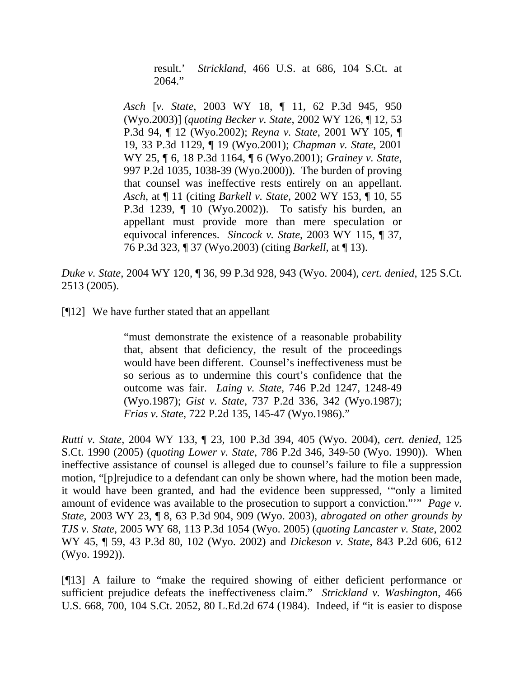result.' *Strickland*, 466 U.S. at 686, 104 S.Ct. at 2064."

*Asch* [*v. State*, 2003 WY 18, ¶ 11, 62 P.3d 945, 950 (Wyo.2003)] (*quoting Becker v. State*, 2002 WY 126, ¶ 12, 53 P.3d 94, ¶ 12 (Wyo.2002); *Reyna v. State*, 2001 WY 105, ¶ 19, 33 P.3d 1129, ¶ 19 (Wyo.2001); *Chapman v. State*, 2001 WY 25, ¶ 6, 18 P.3d 1164, ¶ 6 (Wyo.2001); *Grainey v. State*, 997 P.2d 1035, 1038-39 (Wyo.2000)). The burden of proving that counsel was ineffective rests entirely on an appellant. *Asch*, at ¶ 11 (citing *Barkell v. State*, 2002 WY 153, ¶ 10, 55 P.3d 1239, ¶ 10 (Wyo.2002)). To satisfy his burden, an appellant must provide more than mere speculation or equivocal inferences. *Sincock v. State*, 2003 WY 115, ¶ 37, 76 P.3d 323, ¶ 37 (Wyo.2003) (citing *Barkell*, at ¶ 13).

*Duke v. State*, 2004 WY 120, ¶ 36, 99 P.3d 928, 943 (Wyo. 2004), *cert. denied*, 125 S.Ct. 2513 (2005).

[¶12] We have further stated that an appellant

"must demonstrate the existence of a reasonable probability that, absent that deficiency, the result of the proceedings would have been different. Counsel's ineffectiveness must be so serious as to undermine this court's confidence that the outcome was fair. *Laing v. State*, 746 P.2d 1247, 1248-49 (Wyo.1987); *Gist v. State*, 737 P.2d 336, 342 (Wyo.1987); *Frias v. State*, 722 P.2d 135, 145-47 (Wyo.1986)."

*Rutti v. State*, 2004 WY 133, ¶ 23, 100 P.3d 394, 405 (Wyo. 2004), *cert. denied*, 125 S.Ct. 1990 (2005) (*quoting Lower v. State*, 786 P.2d 346, 349-50 (Wyo. 1990)). When ineffective assistance of counsel is alleged due to counsel's failure to file a suppression motion, "[p]rejudice to a defendant can only be shown where, had the motion been made, it would have been granted, and had the evidence been suppressed, '"only a limited amount of evidence was available to the prosecution to support a conviction."" *Page v. State*, 2003 WY 23, ¶ 8, 63 P.3d 904, 909 (Wyo. 2003), *abrogated on other grounds by TJS v. State*, 2005 WY 68, 113 P.3d 1054 (Wyo. 2005) (*quoting Lancaster v. State*, 2002 WY 45, ¶ 59, 43 P.3d 80, 102 (Wyo. 2002) and *Dickeson v. State*, 843 P.2d 606, 612 (Wyo. 1992)).

[¶13] A failure to "make the required showing of either deficient performance or sufficient prejudice defeats the ineffectiveness claim." *Strickland v. Washington*, 466 U.S. 668, 700, 104 S.Ct. 2052, 80 L.Ed.2d 674 (1984). Indeed, if "it is easier to dispose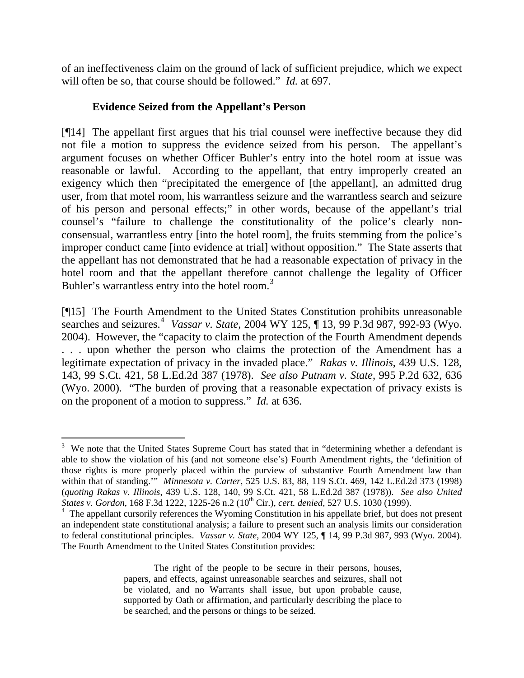of an ineffectiveness claim on the ground of lack of sufficient prejudice, which we expect will often be so, that course should be followed." *Id.* at 697.

# **Evidence Seized from the Appellant's Person**

 $\overline{a}$ 

[¶14] The appellant first argues that his trial counsel were ineffective because they did not file a motion to suppress the evidence seized from his person. The appellant's argument focuses on whether Officer Buhler's entry into the hotel room at issue was reasonable or lawful. According to the appellant, that entry improperly created an exigency which then "precipitated the emergence of [the appellant], an admitted drug user, from that motel room, his warrantless seizure and the warrantless search and seizure of his person and personal effects;" in other words, because of the appellant's trial counsel's "failure to challenge the constitutionality of the police's clearly nonconsensual, warrantless entry [into the hotel room], the fruits stemming from the police's improper conduct came [into evidence at trial] without opposition." The State asserts that the appellant has not demonstrated that he had a reasonable expectation of privacy in the hotel room and that the appellant therefore cannot challenge the legality of Officer Buhler's warrantless entry into the hotel room.<sup>[3](#page-6-0)</sup>

[¶15] The Fourth Amendment to the United States Constitution prohibits unreasonable searches and seizures.<sup>[4](#page-6-1)</sup> *Vassar v. State*, 2004 WY 125, ¶ 13, 99 P.3d 987, 992-93 (Wyo. 2004). However, the "capacity to claim the protection of the Fourth Amendment depends . . . upon whether the person who claims the protection of the Amendment has a legitimate expectation of privacy in the invaded place." *Rakas v. Illinois*, 439 U.S. 128, 143, 99 S.Ct. 421, 58 L.Ed.2d 387 (1978). *See also Putnam v. State*, 995 P.2d 632, 636 (Wyo. 2000). "The burden of proving that a reasonable expectation of privacy exists is on the proponent of a motion to suppress." *Id.* at 636.

<span id="page-6-0"></span><sup>&</sup>lt;sup>3</sup> We note that the United States Supreme Court has stated that in "determining whether a defendant is able to show the violation of his (and not someone else's) Fourth Amendment rights, the 'definition of those rights is more properly placed within the purview of substantive Fourth Amendment law than within that of standing.'" *Minnesota v. Carter*, 525 U.S. 83, 88, 119 S.Ct. 469, 142 L.Ed.2d 373 (1998) (*quoting Rakas v. Illinois*, 439 U.S. 128, 140, 99 S.Ct. 421, 58 L.Ed.2d 387 (1978)). *See also United States v. Gordon*, 168 F.3d 1222, 1225-26 n.2 (10th Cir.), *cert. denied*, 527 U.S. 1030 (1999).

<span id="page-6-1"></span><sup>&</sup>lt;sup>4</sup> The appellant cursorily references the Wyoming Constitution in his appellate brief, but does not present an independent state constitutional analysis; a failure to present such an analysis limits our consideration to federal constitutional principles. *Vassar v. State*, 2004 WY 125, ¶ 14, 99 P.3d 987, 993 (Wyo. 2004). The Fourth Amendment to the United States Constitution provides:

The right of the people to be secure in their persons, houses, papers, and effects, against unreasonable searches and seizures, shall not be violated, and no Warrants shall issue, but upon probable cause, supported by Oath or affirmation, and particularly describing the place to be searched, and the persons or things to be seized.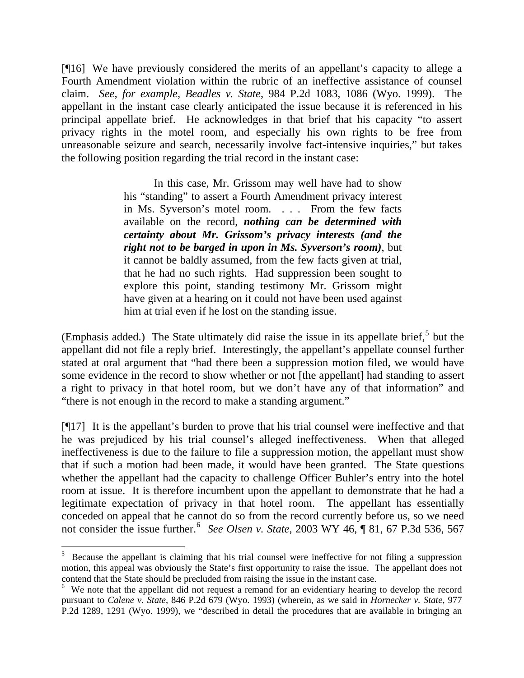[¶16] We have previously considered the merits of an appellant's capacity to allege a Fourth Amendment violation within the rubric of an ineffective assistance of counsel claim. *See, for example, Beadles v. State*, 984 P.2d 1083, 1086 (Wyo. 1999). The appellant in the instant case clearly anticipated the issue because it is referenced in his principal appellate brief. He acknowledges in that brief that his capacity "to assert privacy rights in the motel room, and especially his own rights to be free from unreasonable seizure and search, necessarily involve fact-intensive inquiries," but takes the following position regarding the trial record in the instant case:

> In this case, Mr. Grissom may well have had to show his "standing" to assert a Fourth Amendment privacy interest in Ms. Syverson's motel room. . . . From the few facts available on the record, *nothing can be determined with certainty about Mr. Grissom's privacy interests (and the right not to be barged in upon in Ms. Syverson's room)*, but it cannot be baldly assumed, from the few facts given at trial, that he had no such rights. Had suppression been sought to explore this point, standing testimony Mr. Grissom might have given at a hearing on it could not have been used against him at trial even if he lost on the standing issue.

(Emphasis added.) The State ultimately did raise the issue in its appellate brief,<sup>[5](#page-7-0)</sup> but the appellant did not file a reply brief. Interestingly, the appellant's appellate counsel further stated at oral argument that "had there been a suppression motion filed, we would have some evidence in the record to show whether or not [the appellant] had standing to assert a right to privacy in that hotel room, but we don't have any of that information" and "there is not enough in the record to make a standing argument."

[¶17] It is the appellant's burden to prove that his trial counsel were ineffective and that he was prejudiced by his trial counsel's alleged ineffectiveness. When that alleged ineffectiveness is due to the failure to file a suppression motion, the appellant must show that if such a motion had been made, it would have been granted. The State questions whether the appellant had the capacity to challenge Officer Buhler's entry into the hotel room at issue. It is therefore incumbent upon the appellant to demonstrate that he had a legitimate expectation of privacy in that hotel room. The appellant has essentially conceded on appeal that he cannot do so from the record currently before us, so we need not consider the issue further.<sup>[6](#page-7-1)</sup> See Olsen v. State, 2003 WY 46, ¶ 81, 67 P.3d 536, 567

<span id="page-7-0"></span> $5$  Because the appellant is claiming that his trial counsel were ineffective for not filing a suppression motion, this appeal was obviously the State's first opportunity to raise the issue. The appellant does not contend that the State should be precluded from raising the issue in the instant case.

<span id="page-7-1"></span><sup>&</sup>lt;sup>6</sup> We note that the appellant did not request a remand for an evidentiary hearing to develop the record pursuant to *Calene v. State*, 846 P.2d 679 (Wyo. 1993) (wherein, as we said in *Hornecker v. State*, 977 P.2d 1289, 1291 (Wyo. 1999), we "described in detail the procedures that are available in bringing an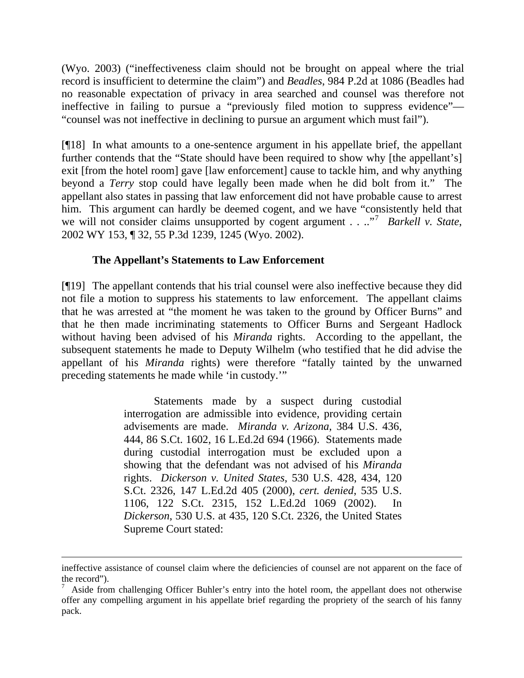(Wyo. 2003) ("ineffectiveness claim should not be brought on appeal where the trial record is insufficient to determine the claim") and *Beadles*, 984 P.2d at 1086 (Beadles had no reasonable expectation of privacy in area searched and counsel was therefore not ineffective in failing to pursue a "previously filed motion to suppress evidence"— "counsel was not ineffective in declining to pursue an argument which must fail").

[¶18] In what amounts to a one-sentence argument in his appellate brief, the appellant further contends that the "State should have been required to show why [the appellant's] exit [from the hotel room] gave [law enforcement] cause to tackle him, and why anything beyond a *Terry* stop could have legally been made when he did bolt from it." The appellant also states in passing that law enforcement did not have probable cause to arrest him. This argument can hardly be deemed cogent, and we have "consistently held that we will not consider claims unsupported by cogent argument . . ..<sup>"[7](#page-8-0)</sup> Barkell v. State, 2002 WY 153, ¶ 32, 55 P.3d 1239, 1245 (Wyo. 2002).

# **The Appellant's Statements to Law Enforcement**

[¶19] The appellant contends that his trial counsel were also ineffective because they did not file a motion to suppress his statements to law enforcement. The appellant claims that he was arrested at "the moment he was taken to the ground by Officer Burns" and that he then made incriminating statements to Officer Burns and Sergeant Hadlock without having been advised of his *Miranda* rights. According to the appellant, the subsequent statements he made to Deputy Wilhelm (who testified that he did advise the appellant of his *Miranda* rights) were therefore "fatally tainted by the unwarned preceding statements he made while 'in custody.'"

> Statements made by a suspect during custodial interrogation are admissible into evidence, providing certain advisements are made. *Miranda v. Arizona*, 384 U.S. 436, 444, 86 S.Ct. 1602, 16 L.Ed.2d 694 (1966). Statements made during custodial interrogation must be excluded upon a showing that the defendant was not advised of his *Miranda* rights. *Dickerson v. United States*, 530 U.S. 428, 434, 120 S.Ct. 2326, 147 L.Ed.2d 405 (2000), *cert. denied*, 535 U.S. 1106, 122 S.Ct. 2315, 152 L.Ed.2d 1069 (2002). In *Dickerson*, 530 U.S. at 435, 120 S.Ct. 2326, the United States Supreme Court stated:

ineffective assistance of counsel claim where the deficiencies of counsel are not apparent on the face of the record").

<span id="page-8-0"></span><sup>7</sup> Aside from challenging Officer Buhler's entry into the hotel room, the appellant does not otherwise offer any compelling argument in his appellate brief regarding the propriety of the search of his fanny pack.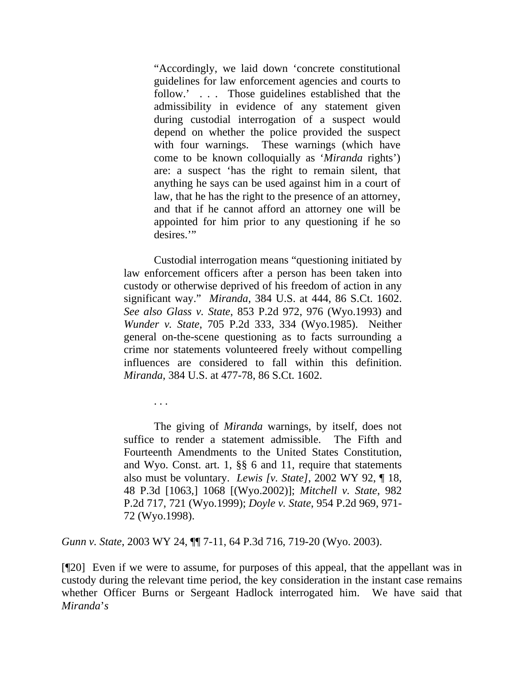"Accordingly, we laid down 'concrete constitutional guidelines for law enforcement agencies and courts to follow.'... Those guidelines established that the admissibility in evidence of any statement given during custodial interrogation of a suspect would depend on whether the police provided the suspect with four warnings. These warnings (which have come to be known colloquially as '*Miranda* rights') are: a suspect 'has the right to remain silent, that anything he says can be used against him in a court of law, that he has the right to the presence of an attorney, and that if he cannot afford an attorney one will be appointed for him prior to any questioning if he so desires."

 Custodial interrogation means "questioning initiated by law enforcement officers after a person has been taken into custody or otherwise deprived of his freedom of action in any significant way." *Miranda*, 384 U.S. at 444, 86 S.Ct. 1602. *See also Glass v. State*, 853 P.2d 972, 976 (Wyo.1993) and *Wunder v. State*, 705 P.2d 333, 334 (Wyo.1985). Neither general on-the-scene questioning as to facts surrounding a crime nor statements volunteered freely without compelling influences are considered to fall within this definition. *Miranda*, 384 U.S. at 477-78, 86 S.Ct. 1602.

. . .

 The giving of *Miranda* warnings, by itself, does not suffice to render a statement admissible. The Fifth and Fourteenth Amendments to the United States Constitution, and Wyo. Const. art. 1, §§ 6 and 11, require that statements also must be voluntary. *Lewis [v. State]*, 2002 WY 92, ¶ 18, 48 P.3d [1063,] 1068 [(Wyo.2002)]; *Mitchell v. State*, 982 P.2d 717, 721 (Wyo.1999); *Doyle v. State*, 954 P.2d 969, 971- 72 (Wyo.1998).

*Gunn v. State*, 2003 WY 24, ¶¶ 7-11, 64 P.3d 716, 719-20 (Wyo. 2003).

[¶20] Even if we were to assume, for purposes of this appeal, that the appellant was in custody during the relevant time period, the key consideration in the instant case remains whether Officer Burns or Sergeant Hadlock interrogated him. We have said that *Miranda*'*s*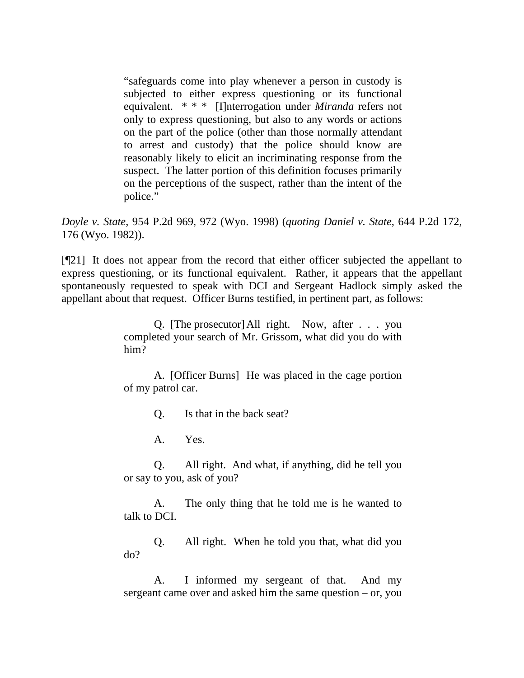"safeguards come into play whenever a person in custody is subjected to either express questioning or its functional equivalent. \* \* \* [I]nterrogation under *Miranda* refers not only to express questioning, but also to any words or actions on the part of the police (other than those normally attendant to arrest and custody) that the police should know are reasonably likely to elicit an incriminating response from the suspect. The latter portion of this definition focuses primarily on the perceptions of the suspect, rather than the intent of the police."

*Doyle v. State*, 954 P.2d 969, 972 (Wyo. 1998) (*quoting Daniel v. State*, 644 P.2d 172, 176 (Wyo. 1982)).

[¶21] It does not appear from the record that either officer subjected the appellant to express questioning, or its functional equivalent. Rather, it appears that the appellant spontaneously requested to speak with DCI and Sergeant Hadlock simply asked the appellant about that request. Officer Burns testified, in pertinent part, as follows:

> Q. [The prosecutor] All right. Now, after . . . you completed your search of Mr. Grissom, what did you do with him?

> A. [Officer Burns] He was placed in the cage portion of my patrol car.

> > Q. Is that in the back seat?

A. Yes.

Q. All right. And what, if anything, did he tell you or say to you, ask of you?

A. The only thing that he told me is he wanted to talk to DCI.

Q. All right. When he told you that, what did you do?

A. I informed my sergeant of that. And my sergeant came over and asked him the same question – or, you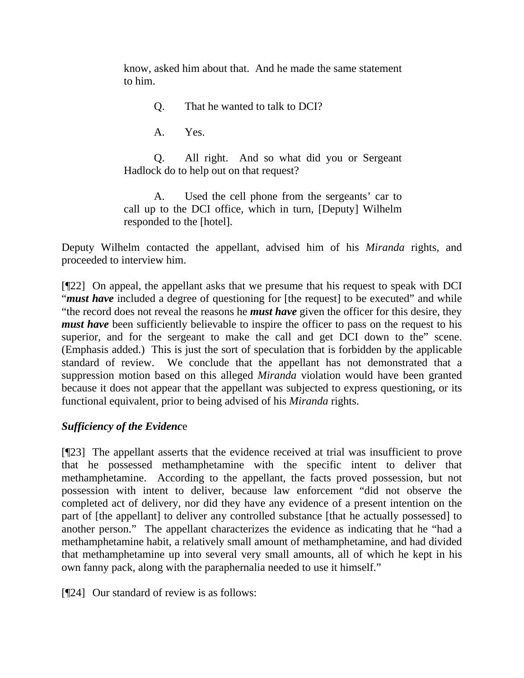know, asked him about that. And he made the same statement to him.

Q. That he wanted to talk to DCI?

A. Yes.

Q. All right. And so what did you or Sergeant Hadlock do to help out on that request?

A. Used the cell phone from the sergeants' car to call up to the DCI office, which in turn, [Deputy] Wilhelm responded to the [hotel].

Deputy Wilhelm contacted the appellant, advised him of his *Miranda* rights, and proceeded to interview him.

[¶22] On appeal, the appellant asks that we presume that his request to speak with DCI "*must have* included a degree of questioning for [the request] to be executed" and while "the record does not reveal the reasons he *must have* given the officer for this desire, they *must have* been sufficiently believable to inspire the officer to pass on the request to his superior, and for the sergeant to make the call and get DCI down to the" scene. (Emphasis added.) This is just the sort of speculation that is forbidden by the applicable standard of review. We conclude that the appellant has not demonstrated that a suppression motion based on this alleged *Miranda* violation would have been granted because it does not appear that the appellant was subjected to express questioning, or its functional equivalent, prior to being advised of his *Miranda* rights.

# *Sufficiency of the Evidenc*e

[¶23] The appellant asserts that the evidence received at trial was insufficient to prove that he possessed methamphetamine with the specific intent to deliver that methamphetamine. According to the appellant, the facts proved possession, but not possession with intent to deliver, because law enforcement "did not observe the completed act of delivery, nor did they have any evidence of a present intention on the part of [the appellant] to deliver any controlled substance [that he actually possessed] to another person." The appellant characterizes the evidence as indicating that he "had a methamphetamine habit, a relatively small amount of methamphetamine, and had divided that methamphetamine up into several very small amounts, all of which he kept in his own fanny pack, along with the paraphernalia needed to use it himself."

[¶24] Our standard of review is as follows: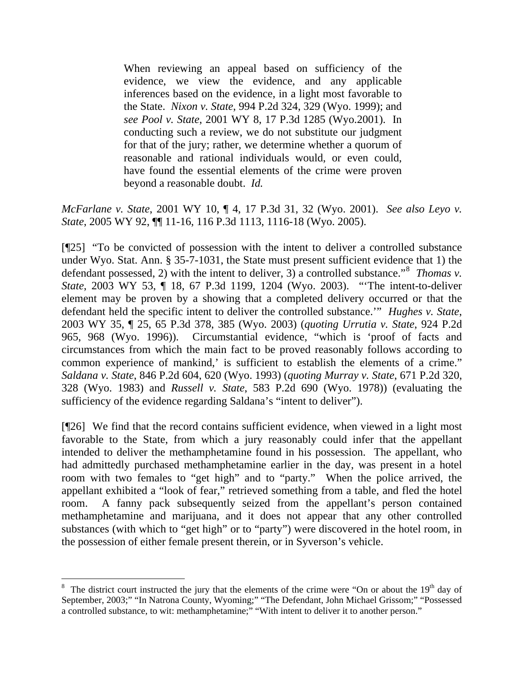When reviewing an appeal based on sufficiency of the evidence, we view the evidence, and any applicable inferences based on the evidence, in a light most favorable to the State. *Nixon v. State*, 994 P.2d 324, 329 (Wyo. 1999); and *see Pool v. State*, 2001 WY 8, 17 P.3d 1285 (Wyo.2001). In conducting such a review, we do not substitute our judgment for that of the jury; rather, we determine whether a quorum of reasonable and rational individuals would, or even could, have found the essential elements of the crime were proven beyond a reasonable doubt. *Id.* 

*McFarlane v. State*, 2001 WY 10, ¶ 4, 17 P.3d 31, 32 (Wyo. 2001). *See also Leyo v. State*, 2005 WY 92, ¶¶ 11-16, 116 P.3d 1113, 1116-18 (Wyo. 2005).

[¶25] "To be convicted of possession with the intent to deliver a controlled substance under Wyo. Stat. Ann. § 35-7-1031, the State must present sufficient evidence that 1) the defendant possessed, 2) with the intent to deliver,  $3)$  a controlled substance."<sup>[8](#page-12-0)</sup> *Thomas v. State*, 2003 WY 53, ¶ 18, 67 P.3d 1199, 1204 (Wyo. 2003). "'The intent-to-deliver element may be proven by a showing that a completed delivery occurred or that the defendant held the specific intent to deliver the controlled substance.'" *Hughes v. State*, 2003 WY 35, ¶ 25, 65 P.3d 378, 385 (Wyo. 2003) (*quoting Urrutia v. State*, 924 P.2d 965, 968 (Wyo. 1996)). Circumstantial evidence, "which is 'proof of facts and circumstances from which the main fact to be proved reasonably follows according to common experience of mankind,' is sufficient to establish the elements of a crime." *Saldana v. State*, 846 P.2d 604, 620 (Wyo. 1993) (*quoting Murray v. State*, 671 P.2d 320, 328 (Wyo. 1983) and *Russell v. State*, 583 P.2d 690 (Wyo. 1978)) (evaluating the sufficiency of the evidence regarding Saldana's "intent to deliver").

[¶26] We find that the record contains sufficient evidence, when viewed in a light most favorable to the State, from which a jury reasonably could infer that the appellant intended to deliver the methamphetamine found in his possession. The appellant, who had admittedly purchased methamphetamine earlier in the day, was present in a hotel room with two females to "get high" and to "party." When the police arrived, the appellant exhibited a "look of fear," retrieved something from a table, and fled the hotel room. A fanny pack subsequently seized from the appellant's person contained methamphetamine and marijuana, and it does not appear that any other controlled substances (with which to "get high" or to "party") were discovered in the hotel room, in the possession of either female present therein, or in Syverson's vehicle.

<span id="page-12-0"></span><sup>8</sup> The district court instructed the jury that the elements of the crime were "On or about the  $19<sup>th</sup>$  day of September, 2003;" "In Natrona County, Wyoming;" "The Defendant, John Michael Grissom;" "Possessed a controlled substance, to wit: methamphetamine;" "With intent to deliver it to another person."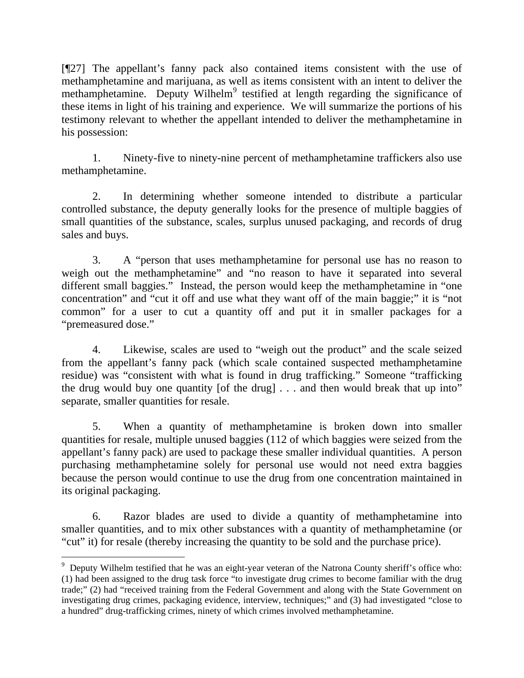[¶27] The appellant's fanny pack also contained items consistent with the use of methamphetamine and marijuana, as well as items consistent with an intent to deliver the methamphetamine. Deputy Wilhelm<sup>[9](#page-13-0)</sup> testified at length regarding the significance of these items in light of his training and experience. We will summarize the portions of his testimony relevant to whether the appellant intended to deliver the methamphetamine in his possession:

 1. Ninety-five to ninety-nine percent of methamphetamine traffickers also use methamphetamine.

2. In determining whether someone intended to distribute a particular controlled substance, the deputy generally looks for the presence of multiple baggies of small quantities of the substance, scales, surplus unused packaging, and records of drug sales and buys.

3. A "person that uses methamphetamine for personal use has no reason to weigh out the methamphetamine" and "no reason to have it separated into several different small baggies." Instead, the person would keep the methamphetamine in "one concentration" and "cut it off and use what they want off of the main baggie;" it is "not common" for a user to cut a quantity off and put it in smaller packages for a "premeasured dose."

4. Likewise, scales are used to "weigh out the product" and the scale seized from the appellant's fanny pack (which scale contained suspected methamphetamine residue) was "consistent with what is found in drug trafficking." Someone "trafficking the drug would buy one quantity [of the drug] . . . and then would break that up into" separate, smaller quantities for resale.

5. When a quantity of methamphetamine is broken down into smaller quantities for resale, multiple unused baggies (112 of which baggies were seized from the appellant's fanny pack) are used to package these smaller individual quantities. A person purchasing methamphetamine solely for personal use would not need extra baggies because the person would continue to use the drug from one concentration maintained in its original packaging.

6. Razor blades are used to divide a quantity of methamphetamine into smaller quantities, and to mix other substances with a quantity of methamphetamine (or "cut" it) for resale (thereby increasing the quantity to be sold and the purchase price).

<span id="page-13-0"></span> $9$  Deputy Wilhelm testified that he was an eight-year veteran of the Natrona County sheriff's office who: (1) had been assigned to the drug task force "to investigate drug crimes to become familiar with the drug trade;" (2) had "received training from the Federal Government and along with the State Government on investigating drug crimes, packaging evidence, interview, techniques;" and (3) had investigated "close to a hundred" drug-trafficking crimes, ninety of which crimes involved methamphetamine.